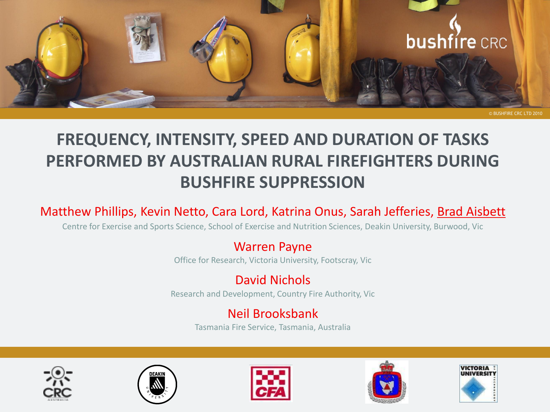

## **FREQUENCY, INTENSITY, SPEED AND DURATION OF TASKS PERFORMED BY AUSTRALIAN RURAL FIREFIGHTERS DURING BUSHFIRE SUPPRESSION**

#### Matthew Phillips, Kevin Netto, Cara Lord, Katrina Onus, Sarah Jefferies, Brad Aisbett

Centre for Exercise and Sports Science, School of Exercise and Nutrition Sciences, Deakin University, Burwood, Vic

#### Warren Payne

Office for Research, Victoria University, Footscray, Vic

### David Nichols

Research and Development, Country Fire Authority, Vic

#### Neil Brooksbank

Tasmania Fire Service, Tasmania, Australia









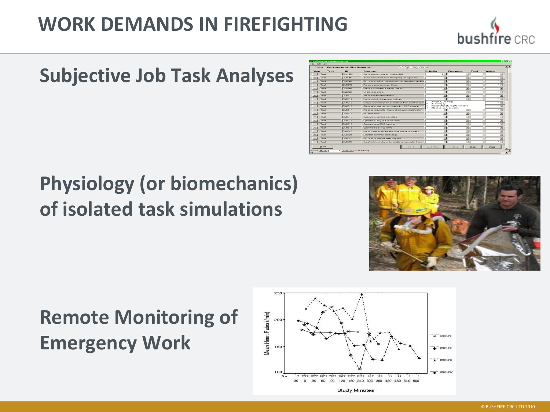# **WORK DEMANDS IN FIREFIGHTING**



# **Subjective Job Task Analyses**

# **Physiology (or biomechanics) of isolated task simulations**

| Performance Management Plus                                               |                                                  |                                                         |                                 |                                   |       | $-10$ $\times$                     |  |
|---------------------------------------------------------------------------|--------------------------------------------------|---------------------------------------------------------|---------------------------------|-----------------------------------|-------|------------------------------------|--|
| File Edit Help                                                            |                                                  |                                                         |                                 |                                   |       |                                    |  |
| <b>ALA</b><br>Weighting Form<br>Position: Communications Shift Supervisor |                                                  |                                                         |                                 |                                   |       |                                    |  |
| Type<br>View                                                              | ID                                               | <b>Statement</b>                                        | Criticality                     | Frequency                         | Total | Weight                             |  |
| Task<br>$\sim$ 1                                                          | ALL1000                                          | Complete assignment as directed                         | $1 \times$                      | ×                                 |       | $\left\vert \mathbf{x}\right\vert$ |  |
| Task<br>$\sim$ 1                                                          | CM1503                                           | Assist and coordinate emergency assignments.            | н                               | $\overline{\phantom{0}}$          |       | $1 -$                              |  |
| Tosk<br>$\bullet$                                                         | <b>CM1504</b>                                    | Process wrecker requests and maintain wrecker file:     | ×                               | −                                 |       | $1 -$                              |  |
| Task<br>$\sim$                                                            | CM1505                                           | Prepare cassette recordings.                            | Ξ                               | $\overline{\phantom{a}}$          |       | $\overline{1}$                     |  |
| Task<br>$\sim$ 1                                                          | <b>CM1508</b>                                    | Generate communications reports                         | ы                               | ы                                 |       | $1 -$                              |  |
| Task<br>$\sim$ 100 $\pm$                                                  | CM1509                                           | Utilize resources.                                      | ×                               | ×                                 |       | $\frac{1}{2}$                      |  |
| Task<br>$\sim$ 1                                                          | <b>CM1510</b>                                    | Track and monitor officers                              | ⊡                               | ⊡                                 |       | $1 -$                              |  |
| Task<br>$\bullet$                                                         | CM1511                                           | Route calls to the proper authority                     | $\sim$                          | ×                                 |       | $1 -$                              |  |
| Task<br>$\overline{\phantom{a}}$                                          | CM1512                                           | Respond and request assistance from another ager        | Property Damage<br>Minor Injury |                                   |       | $1 -$                              |  |
| Task<br>$\cdot$                                                           | CM1513                                           | Receive and enter complaints into CAD system.           | Serious Injury or Death         | Constitutional / Rights Violation |       | 1,36                               |  |
| Task<br>$\sim$ 1                                                          | CM1514                                           | Process request for house checks/extra protection.      |                                 | $-1$                              |       | $1 -$                              |  |
| Task<br>$\sim$ 11                                                         | <b>CM1515</b>                                    | Prioritize calls                                        | ×                               | $\vert \mathbf{v} \vert$          |       | $1 \times$                         |  |
| Task<br>$\overline{\phantom{a}}$                                          | <b>CM1516</b>                                    | Operate telephone consoles                              | ⊡                               | э                                 |       | $1 -$                              |  |
| Tosk<br>$\bullet$                                                         | CM1517                                           | Operate NCIC / FCIC Computer                            | ×                               | $\sim$                            |       | $1 -$                              |  |
| Task<br>$\sim$ 1                                                          | <b>CM1518</b>                                    | Operate local CJIS terminal                             | $\overline{\phantom{a}}$        | $\overline{\phantom{a}}$          |       | $1 - 1$                            |  |
| <b>Task</b><br>$\bullet$                                                  | CM1519                                           | Operate the 911 console                                 | $\mathbf{r}$                    | $\mathbf{v}$                      |       | $1 -$                              |  |
| Task<br>$\sim$ 1                                                          | CM1520                                           | Notify agencies of robberies and priority events.       | ≖                               | ×                                 |       | $1 -$                              |  |
| Tosk<br>$\bullet$                                                         | CM1521                                           | Maintain communication logs                             | E.                              | ⊡                                 |       | $1 -$                              |  |
| Task<br>$\sim$ 1                                                          | CM1522                                           | Process hit confirmation request                        | $\sim$                          | $\overline{\phantom{a}}$          |       | $1 \times$                         |  |
| Task<br>$\sim$ 1                                                          | CM1523                                           | Greet public and monitor facility security after hours. | 国                               | <b>E</b>                          |       | $1 -$                              |  |
|                                                                           |                                                  |                                                         |                                 |                                   |       |                                    |  |
| Print                                                                     |                                                  | Fired                                                   | Add New                         | Detete                            | Clear | Done                               |  |
| Record: 14   4                                                            | $\overline{8}$ >   >             of 48 (Fitered) |                                                         |                                 |                                   |       |                                    |  |



# **Remote Monitoring of Emergency Work**

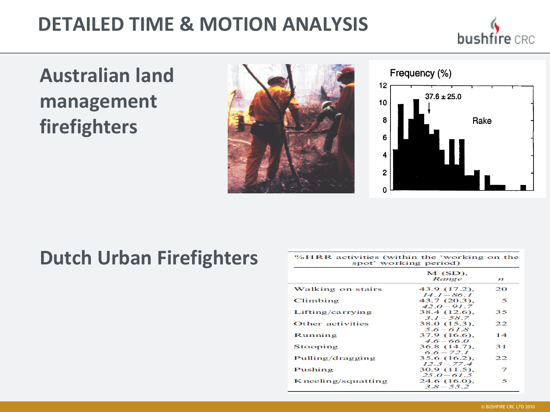# **DETAILED TIME & MOTION ANALYSIS**



# **Australian land management firefighters**





# **Dutch Urban Firefighters**

| %HRR activities (within the 'working on the<br>spot' working period) |                                 |                  |  |  |  |  |
|----------------------------------------------------------------------|---------------------------------|------------------|--|--|--|--|
|                                                                      | $M(SD)$ ,<br>Range              | $\boldsymbol{n}$ |  |  |  |  |
| Walking on stairs                                                    | 43.9 (17.2).<br>$14.1 - 86.1$   | 20               |  |  |  |  |
| Climbing                                                             | 43.7 (20.3),<br>$42.0 - 91.7$   | 5                |  |  |  |  |
| Lifting/carrying                                                     | 38.4 (12.6).<br>$3.1 - 58.7$    | 35               |  |  |  |  |
| Other activities                                                     | 38.0 (15.3).<br>$5.6 - 61.8$    | 22               |  |  |  |  |
| Running                                                              | 37.9 (16.6).<br>$4.6 - 66.0$    | 14               |  |  |  |  |
| Stooping                                                             | $36.8(14.7)$ ,<br>$6.6 - 72.1$  | 31               |  |  |  |  |
| Pulling/dragging                                                     | 35.6 (16.2).<br>$12.3 - 77.4$   | 22               |  |  |  |  |
| Pushing                                                              | $30.9(11.5)$ ,<br>$25.0 - 61.5$ | 7                |  |  |  |  |
| Kneeling/squatting                                                   | 24.6 (16.0),<br>$3.8 - 55.2$    | 5                |  |  |  |  |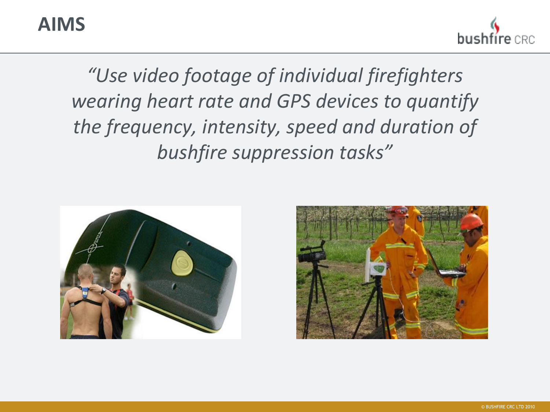## **AIMS**

bushfíre

*"Use video footage of individual firefighters wearing heart rate and GPS devices to quantify the frequency, intensity, speed and duration of bushfire suppression tasks"*



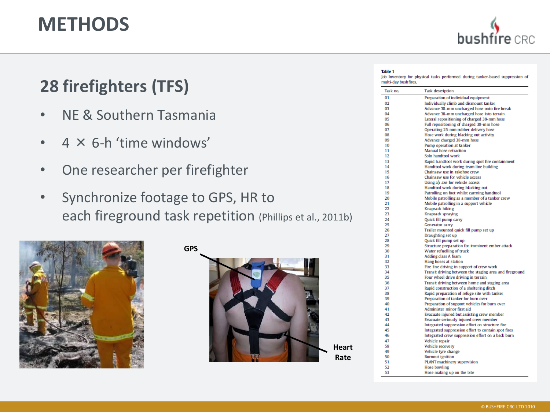## **METHODS**



## **28 firefighters (TFS)**

- NE & Southern Tasmania
- $\bullet$  4  $\times$  6-h 'time windows'
- One researcher per firefighter
- Synchronize footage to GPS, HR to each fireground task repetition (Phillips et al., 2011b)



**GPS**



**Heart Rate**

#### **Table 1**

Job Inventory for physical tasks performed during tanker-based suppression of multi-day bushfires.

| Task no. | <b>Task description</b>                                 |
|----------|---------------------------------------------------------|
| 01       | Preparation of individual equipment                     |
| 02       | Individually climb and dismount tanker                  |
| 03       | Advance 38-mm uncharged hose onto fire break            |
| 04       | Advance 38-mm uncharged hose into terrain               |
| 05       | Lateral repositioning of charged 38-mm hose             |
| 06       | Full repositioning of charged 38-mm hose                |
| 07       | Operating 25-mm rubber delivery hose                    |
| 08       | Hose work during blacking out activity                  |
| 09       | Advance charged 38-mm hose                              |
| 10       | Pump operation at tanker                                |
| 11       | Manual hose retraction                                  |
| 12       | Solo handtool work                                      |
| 13       | Rapid handtool work during spot fire containment        |
| 14       | Handtool work during team line building                 |
| 15       | Chainsaw use in rakehoe crew                            |
| 16       | Chainsaw use for vehicle access                         |
| 17       | Using an axe for vehide access                          |
| 18       | Handtool work during blacking out                       |
| 19       | Patrolling on foot whilst carrying handtool             |
| 20       | Mobile patrolling as a member of a tanker crew          |
| 21       | Mobile patrolling in a support vehicle                  |
| 22       | Knapsack hiking                                         |
| 23       | Knapsack spraying                                       |
| 24       | Quick fill pump carry                                   |
| 25       | Generator carry                                         |
| 26       | Trailer mounted quick fill pump set up                  |
| 27       | Draughting set up                                       |
| 28       | Quick fill pump set up                                  |
| 29       | Structure preparation for imminent ember attack         |
| 30       | Water refuelling of truck                               |
| 31       | <b>Adding class A foam</b>                              |
| 32       | Hang hoses at station                                   |
| 33       | Fire line driving in support of crew work               |
| 34       | Transit driving between the staging area and fireground |
| 35       | Four wheel drive driving in terrain                     |
| 36       | Transit driving between home and staging area           |
| 37       | Rapid construction of a sheltering ditch                |
| 38       | Rapid preparation of refuge site with tanker            |
| 39       | Preparation of tanker for burn over                     |
| 40       | Preparation of support vehicles for burn over           |
| 41       | Administer minor first aid                              |
| 42       | Evacuate injured but assisting crew member              |
| 43       | Evacuate seriously injured crew member                  |
| 44       | Integrated suppression effort on structure fire         |
| 45       | Integrated suppression effort to contain spot fires     |
| 46       | Integrated crew suppression effort on a back burn       |
| 47       | Vehicle repair                                          |
| 58       | Vehicle recovery                                        |
| 49       | Vehicle tyre change                                     |
| 50       | <b>Burnout</b> ignition                                 |
| 51       | PLANT machinery supervision                             |
| 52       | <b>Hose bowling</b>                                     |
| 53       | Hose making up on the bite                              |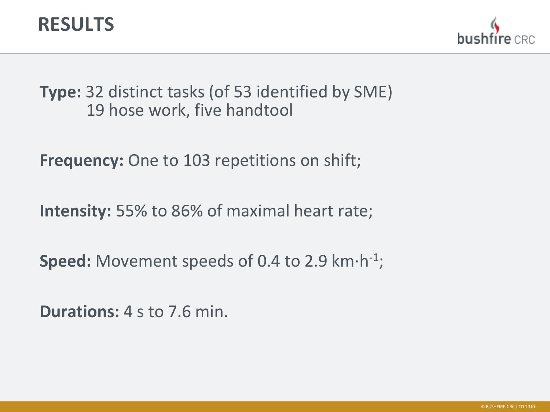

**Type:** 32 distinct tasks (of 53 identified by SME) 19 hose work, five handtool

**Frequency:** One to 103 repetitions on shift;

**Intensity:** 55% to 86% of maximal heart rate;

Speed: Movement speeds of 0.4 to 2.9 km·h<sup>-1</sup>;

**Durations:** 4 s to 7.6 min.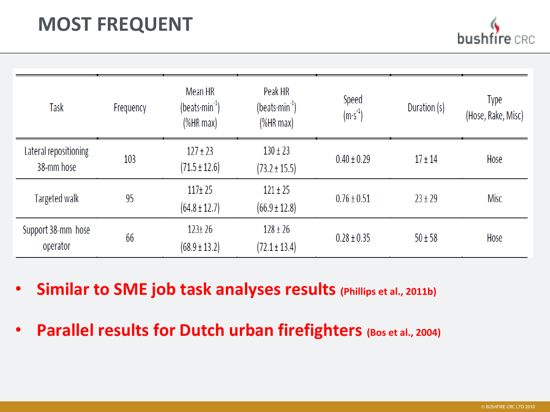# **MOST FREQUENT**

| Task                                | Frequency | Mean HR<br>(beats $min^{-1}$ )    | Peak HR<br>$(beats·min-1)$        | Speed           | Type<br>Duration (s)<br>(Hose, Rake, Misc) |             |
|-------------------------------------|-----------|-----------------------------------|-----------------------------------|-----------------|--------------------------------------------|-------------|
|                                     |           | (%HR max)                         | (%HR max)                         | $(m·s-1)$       |                                            |             |
| Lateral repositioning<br>38-mm hose | 103       | $127 \pm 23$<br>$(71.5 \pm 12.6)$ | $130 \pm 23$<br>$(73.2 \pm 15.5)$ | $0.40 \pm 0.29$ | $17 \pm 14$                                | Hose        |
| <b>Targeted walk</b>                | 95        | $117 + 25$<br>$(64.8 \pm 12.7)$   | $121 \pm 25$<br>$(66.9 \pm 12.8)$ | $0.76 \pm 0.51$ | $23 \pm 29$                                | <b>Misc</b> |
| Support 38-mm hose<br>operator      | 66        | $123 \pm 26$<br>$(68.9 \pm 13.2)$ | $128 \pm 26$<br>$(72.1 \pm 13.4)$ | $0.28 \pm 0.35$ | $50 \pm 58$                                | Hose        |

- **Similar to SME job task analyses results (Phillips et al., 2011b)**
- **Parallel results for Dutch urban firefighters (Bos et al., 2004)**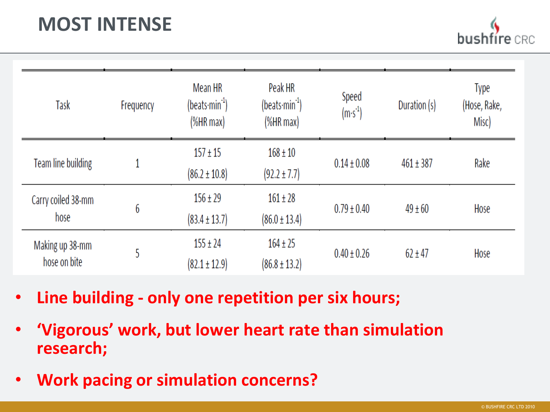# **MOST INTENSE**

| Task                            | Frequency | Mean HR<br>$(beats·min-1)$<br>(%HR max) | Peak HR<br>$(beats·min-1)$<br>%HRmax | Speed<br>$(m·s-1)$ | Duration (s)  | <b>Type</b><br>(Hose, Rake,<br>Misc) |
|---------------------------------|-----------|-----------------------------------------|--------------------------------------|--------------------|---------------|--------------------------------------|
| Team line building              |           | $157 \pm 15$<br>$(86.2 \pm 10.8)$       | $168 \pm 10$<br>$(92.2 \pm 7.7)$     | $0.14 \pm 0.08$    | $461 \pm 387$ | Rake                                 |
| Carry coiled 38-mm<br>hose      | 6         | $156 \pm 29$<br>$(83.4 \pm 13.7)$       | $161 \pm 28$<br>$(86.0 \pm 13.4)$    | $0.79 \pm 0.40$    | $49 \pm 60$   | Hose                                 |
| Making up 38-mm<br>hose on bite | 5         | $155 \pm 24$<br>$(82.1 \pm 12.9)$       | $164 \pm 25$<br>$(86.8 \pm 13.2)$    | $0.40 \pm 0.26$    | $62 \pm 47$   | Hose                                 |

- **Line building - only one repetition per six hours;**
- **'Vigorous' work, but lower heart rate than simulation research;**
- **Work pacing or simulation concerns?**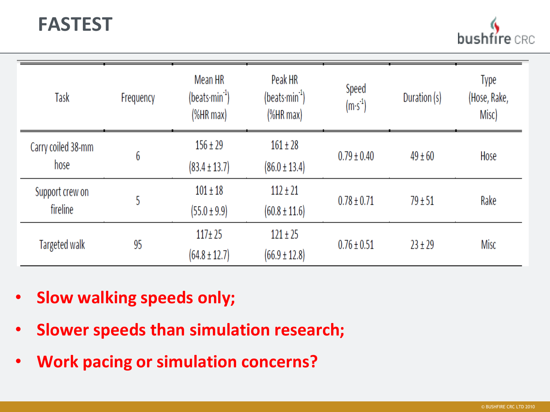# **FASTEST**

busl

| Task                        | Frequency | Mean HR<br>$($ beats·min $^{-1}$ )<br>(% | Peak HR<br>$(beats·min-1)$<br>$%HR$ max $)$ | Speed<br>$(m·s-1)$ | Duration (s) | Type<br>(Hose, Rake,<br>Misc) |
|-----------------------------|-----------|------------------------------------------|---------------------------------------------|--------------------|--------------|-------------------------------|
| Carry coiled 38-mm<br>hose  | 6         | $156 \pm 29$<br>$(83.4 \pm 13.7)$        | $161 \pm 28$<br>$(86.0 \pm 13.4)$           | $0.79 \pm 0.40$    | $49 \pm 60$  | Hose                          |
| Support crew on<br>fireline | 5         | $101 \pm 18$<br>$(55.0 \pm 9.9)$         | $112 \pm 21$<br>$(60.8 \pm 11.6)$           | $0.78 \pm 0.71$    | $79 \pm 51$  | Rake                          |
| Targeted walk               | 95        | $117 + 25$<br>$(64.8 \pm 12.7)$          | $121 \pm 25$<br>$(66.9 \pm 12.8)$           | $0.76 \pm 0.51$    | $23 \pm 29$  | Misc                          |

- **Slow walking speeds only;**
- **Slower speeds than simulation research;**
- **Work pacing or simulation concerns?**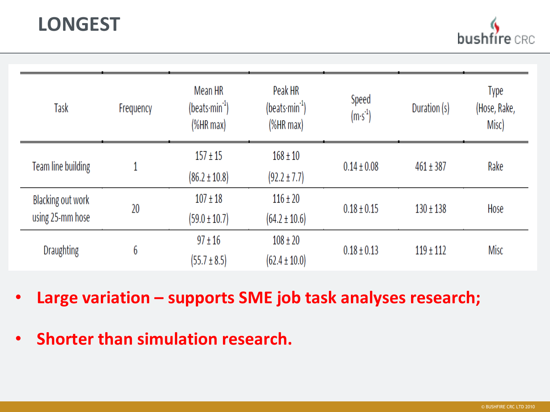# **LONGEST**

busł

| Task                                  | Frequency | Mean HR<br>$(beats·min-1)$<br>%HRmax | Peak HR<br>$(beats·min-1)$<br>(%HR max) | Speed<br>$(m·s-1)$ | Duration (s)  | Type<br>(Hose, Rake,<br>Misc) |
|---------------------------------------|-----------|--------------------------------------|-----------------------------------------|--------------------|---------------|-------------------------------|
| Team line building                    |           | $157 \pm 15$<br>$(86.2 \pm 10.8)$    | $168 \pm 10$<br>$(92.2 \pm 7.7)$        | $0.14 \pm 0.08$    | $461 \pm 387$ | Rake                          |
| Blacking out work<br>using 25-mm hose | 20        | $107 \pm 18$<br>$(59.0 \pm 10.7)$    | $116 \pm 20$<br>$(64.2 \pm 10.6)$       | $0.18 \pm 0.15$    | $130 \pm 138$ | Hose                          |
| <b>Draughting</b>                     | 6         | $97 \pm 16$<br>$(55.7 \pm 8.5)$      | $108 \pm 20$<br>$(62.4 \pm 10.0)$       | $0.18 \pm 0.13$    | $119 \pm 112$ | Misc                          |

- **Large variation – supports SME job task analyses research;**
- **Shorter than simulation research.**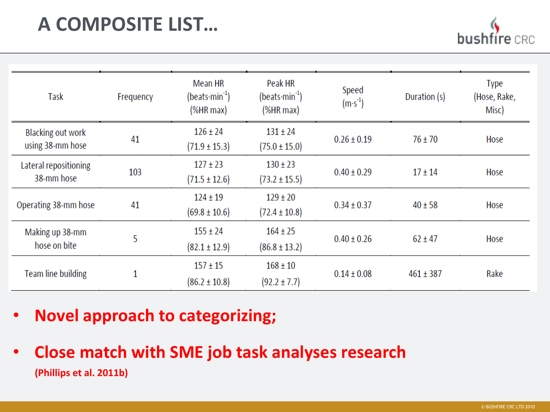# **A COMPOSITE LIST…**

hus

| Task                                         | Frequency | Mean HR<br>$(beats·min-1)$<br>(%  | Peak HR<br>$(beats·min-1)$<br>(%HR max) | Speed<br>$(m·s-1)$ | Duration (s)  | <b>Type</b><br>(Hose, Rake,<br>Misc) |
|----------------------------------------------|-----------|-----------------------------------|-----------------------------------------|--------------------|---------------|--------------------------------------|
| <b>Blacking out work</b><br>using 38-mm hose | 41        | $126 \pm 24$<br>$(71.9 \pm 15.3)$ | $131 \pm 24$<br>$(75.0 \pm 15.0)$       | $0.26 \pm 0.19$    | $76 \pm 70$   | Hose                                 |
| Lateral repositioning<br>38-mm hose          | 103       | $127 \pm 23$<br>$(71.5 \pm 12.6)$ | $130 \pm 23$<br>$(73.2 \pm 15.5)$       | $0.40 \pm 0.29$    | $17 \pm 14$   | Hose                                 |
| Operating 38-mm hose                         | 41        | $124 \pm 19$<br>$(69.8 \pm 10.6)$ | $129 \pm 20$<br>$(72.4 \pm 10.8)$       | $0.34 \pm 0.37$    | $40 \pm 58$   | Hose                                 |
| Making up 38-mm<br>hose on bite              | 5         | $155 \pm 24$<br>$(82.1 \pm 12.9)$ | $164 \pm 25$<br>$(86.8 \pm 13.2)$       | $0.40 \pm 0.26$    | $62 \pm 47$   | Hose                                 |
| <b>Team line building</b>                    | 1         | $157 \pm 15$<br>$(86.2 \pm 10.8)$ | $168 \pm 10$<br>$(92.2 \pm 7.7)$        | $0.14 \pm 0.08$    | $461 \pm 387$ | Rake                                 |

- **Novel approach to categorizing;**
- **Close match with SME job task analyses research (Phillips et al. 2011b)**